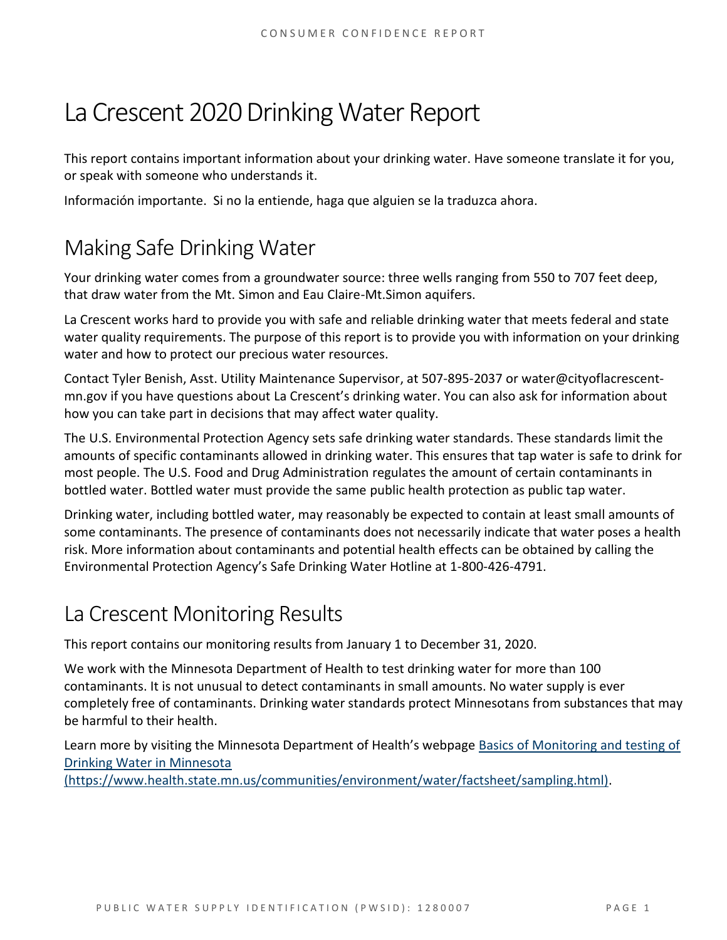# La Crescent 2020 Drinking Water Report

This report contains important information about your drinking water. Have someone translate it for you, or speak with someone who understands it.

Información importante. Si no la entiende, haga que alguien se la traduzca ahora.

# Making Safe Drinking Water

Your drinking water comes from a groundwater source: three wells ranging from 550 to 707 feet deep, that draw water from the Mt. Simon and Eau Claire-Mt.Simon aquifers.

La Crescent works hard to provide you with safe and reliable drinking water that meets federal and state water quality requirements. The purpose of this report is to provide you with information on your drinking water and how to protect our precious water resources.

Contact Tyler Benish, Asst. Utility Maintenance Supervisor, at 507-895-2037 or water@cityoflacrescentmn.gov if you have questions about La Crescent's drinking water. You can also ask for information about how you can take part in decisions that may affect water quality.

The U.S. Environmental Protection Agency sets safe drinking water standards. These standards limit the amounts of specific contaminants allowed in drinking water. This ensures that tap water is safe to drink for most people. The U.S. Food and Drug Administration regulates the amount of certain contaminants in bottled water. Bottled water must provide the same public health protection as public tap water.

Drinking water, including bottled water, may reasonably be expected to contain at least small amounts of some contaminants. The presence of contaminants does not necessarily indicate that water poses a health risk. More information about contaminants and potential health effects can be obtained by calling the Environmental Protection Agency's Safe Drinking Water Hotline at 1-800-426-4791.

# La Crescent Monitoring Results

This report contains our monitoring results from January 1 to December 31, 2020.

We work with the Minnesota Department of Health to test drinking water for more than 100 contaminants. It is not unusual to detect contaminants in small amounts. No water supply is ever completely free of contaminants. Drinking water standards protect Minnesotans from substances that may be harmful to their health.

Learn more by visiting the Minnesota Department of Health's webpage [Basics of Monitoring and testing of](https://www.health.state.mn.us/communities/environment/water/factsheet/sampling.html)  [Drinking Water in Minnesota](https://www.health.state.mn.us/communities/environment/water/factsheet/sampling.html) 

[\(https://www.health.state.mn.us/communities/environment/water/factsheet/sampling.html\).](https://www.health.state.mn.us/communities/environment/water/factsheet/sampling.html)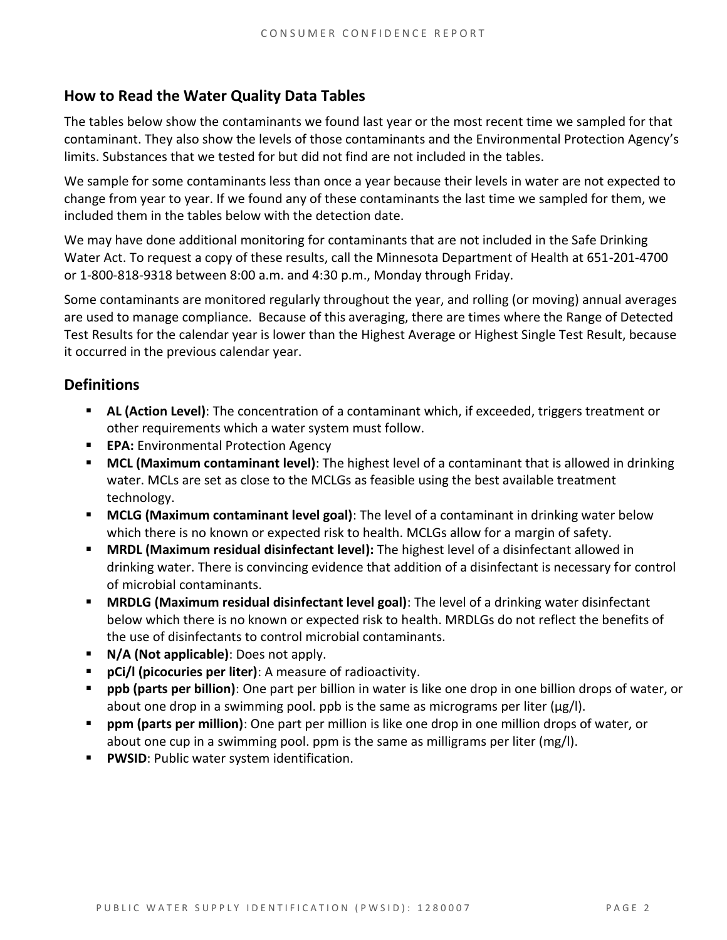## **How to Read the Water Quality Data Tables**

The tables below show the contaminants we found last year or the most recent time we sampled for that contaminant. They also show the levels of those contaminants and the Environmental Protection Agency's limits. Substances that we tested for but did not find are not included in the tables.

We sample for some contaminants less than once a year because their levels in water are not expected to change from year to year. If we found any of these contaminants the last time we sampled for them, we included them in the tables below with the detection date.

We may have done additional monitoring for contaminants that are not included in the Safe Drinking Water Act. To request a copy of these results, call the Minnesota Department of Health at 651-201-4700 or 1-800-818-9318 between 8:00 a.m. and 4:30 p.m., Monday through Friday.

Some contaminants are monitored regularly throughout the year, and rolling (or moving) annual averages are used to manage compliance. Because of this averaging, there are times where the Range of Detected Test Results for the calendar year is lower than the Highest Average or Highest Single Test Result, because it occurred in the previous calendar year.

### **Definitions**

- AL (Action Level): The concentration of a contaminant which, if exceeded, triggers treatment or other requirements which a water system must follow.
- **EPA:** Environmental Protection Agency
- **MCL (Maximum contaminant level)**: The highest level of a contaminant that is allowed in drinking water. MCLs are set as close to the MCLGs as feasible using the best available treatment technology.
- **MCLG (Maximum contaminant level goal)**: The level of a contaminant in drinking water below which there is no known or expected risk to health. MCLGs allow for a margin of safety.
- **MRDL (Maximum residual disinfectant level):** The highest level of a disinfectant allowed in drinking water. There is convincing evidence that addition of a disinfectant is necessary for control of microbial contaminants.
- **MRDLG (Maximum residual disinfectant level goal)**: The level of a drinking water disinfectant below which there is no known or expected risk to health. MRDLGs do not reflect the benefits of the use of disinfectants to control microbial contaminants.
- **N/A (Not applicable)**: Does not apply.
- pCi/l (picocuries per liter): A measure of radioactivity.
- **ppb (parts per billion)**: One part per billion in water is like one drop in one billion drops of water, or about one drop in a swimming pool. ppb is the same as micrograms per liter ( $\mu$ g/l).
- **ppm (parts per million)**: One part per million is like one drop in one million drops of water, or about one cup in a swimming pool. ppm is the same as milligrams per liter (mg/l).
- **PWSID: Public water system identification.**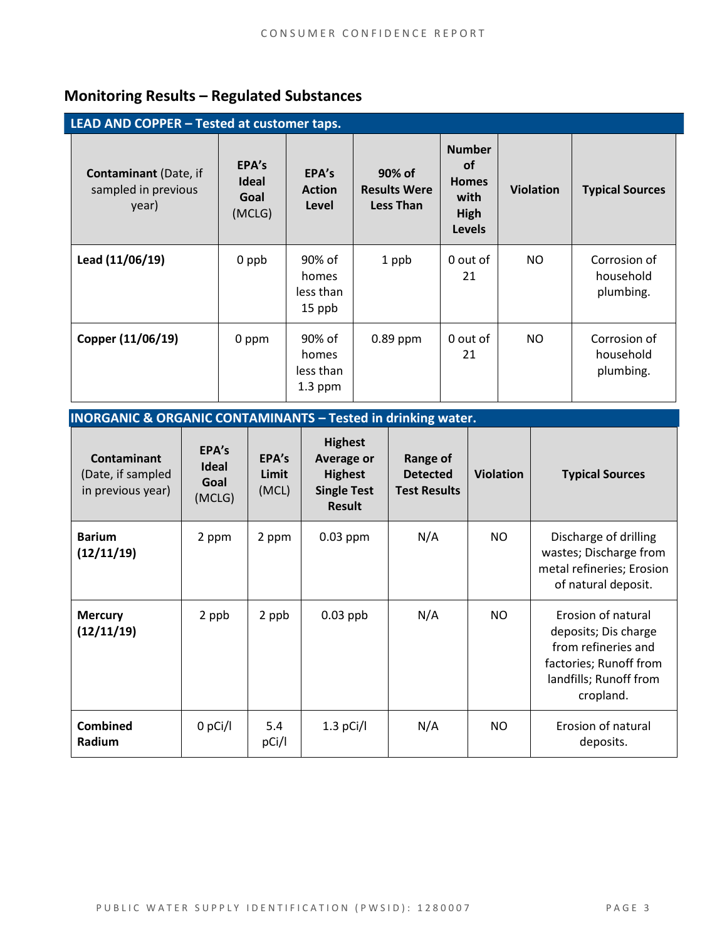# **Monitoring Results – Regulated Substances**

| LEAD AND COPPER - Tested at customer taps.                   |                                         |                                           |                                                   |                                                                             |                  |                                        |  |
|--------------------------------------------------------------|-----------------------------------------|-------------------------------------------|---------------------------------------------------|-----------------------------------------------------------------------------|------------------|----------------------------------------|--|
| <b>Contaminant</b> (Date, if<br>sampled in previous<br>year) | EPA's<br><b>Ideal</b><br>Goal<br>(MCLG) | EPA's<br><b>Action</b><br>Level           | 90% of<br><b>Results Were</b><br><b>Less Than</b> | <b>Number</b><br><b>of</b><br><b>Homes</b><br>with<br>High<br><b>Levels</b> | <b>Violation</b> | <b>Typical Sources</b>                 |  |
| Lead (11/06/19)                                              | 0 ppb                                   | 90% of<br>homes<br>less than<br>15 ppb    | 1 ppb                                             | 0 out of<br>21                                                              | NO               | Corrosion of<br>household<br>plumbing. |  |
| Copper (11/06/19)                                            | 0 ppm                                   | 90% of<br>homes<br>less than<br>$1.3$ ppm | $0.89$ ppm                                        | 0 out of<br>21                                                              | NO.              | Corrosion of<br>household<br>plumbing. |  |

**INORGANIC & ORGANIC CONTAMINANTS – Tested in drinking water.** 

| <b>Contaminant</b><br>(Date, if sampled<br>in previous year) | EPA's<br><b>Ideal</b><br>Goal<br>(MCLG) | EPA's<br>Limit<br>(MCL) | <b>Highest</b><br><b>Average or</b><br><b>Highest</b><br><b>Single Test</b><br><b>Result</b> | <b>Range of</b><br><b>Detected</b><br><b>Test Results</b> | <b>Violation</b> | <b>Typical Sources</b>                                                                                                             |
|--------------------------------------------------------------|-----------------------------------------|-------------------------|----------------------------------------------------------------------------------------------|-----------------------------------------------------------|------------------|------------------------------------------------------------------------------------------------------------------------------------|
| <b>Barium</b><br>(12/11/19)                                  | 2 ppm                                   | 2 ppm                   | $0.03$ ppm                                                                                   | N/A                                                       | NO.              | Discharge of drilling<br>wastes; Discharge from<br>metal refineries; Erosion<br>of natural deposit.                                |
| <b>Mercury</b><br>(12/11/19)                                 | 2 ppb                                   | 2 ppb                   | $0.03$ ppb                                                                                   | N/A                                                       | NO.              | Erosion of natural<br>deposits; Dis charge<br>from refineries and<br>factories; Runoff from<br>landfills; Runoff from<br>cropland. |
| <b>Combined</b><br>Radium                                    | $0$ pCi/l                               | 5.4<br>pCi/l            | $1.3$ pCi/l                                                                                  | N/A                                                       | <b>NO</b>        | Erosion of natural<br>deposits.                                                                                                    |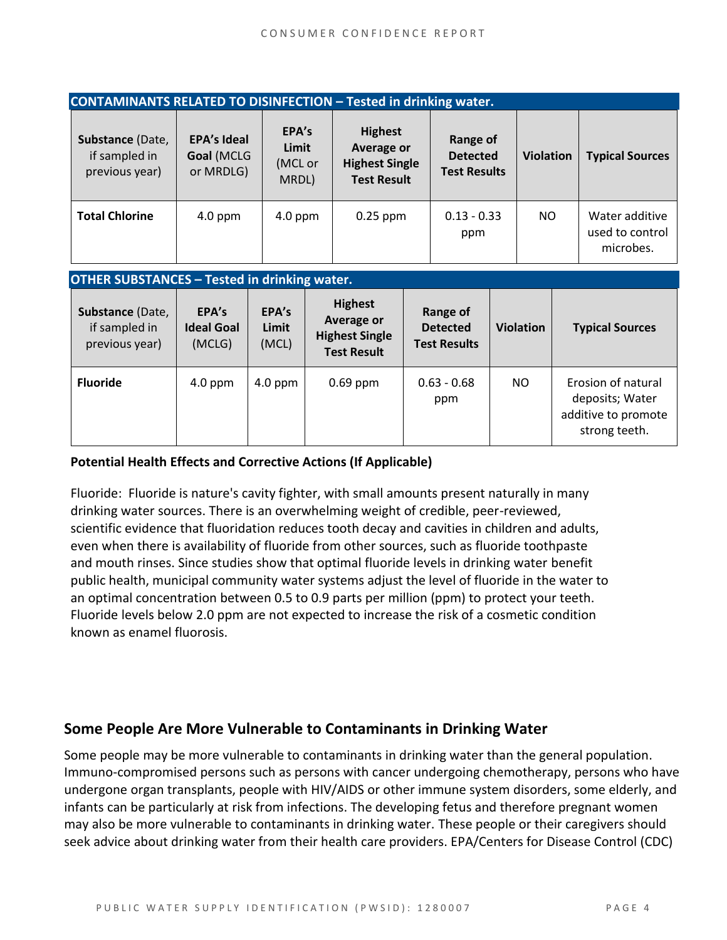| <b>CONTAMINANTS RELATED TO DISINFECTION - Tested in drinking water.</b> |                                               |                                    |                                                                             |                                                    |                  |                                                |  |
|-------------------------------------------------------------------------|-----------------------------------------------|------------------------------------|-----------------------------------------------------------------------------|----------------------------------------------------|------------------|------------------------------------------------|--|
| Substance (Date,<br>if sampled in<br>previous year)                     | <b>EPA's Ideal</b><br>Goal (MCLG<br>or MRDLG) | EPA's<br>Limit<br>(MCL or<br>MRDL) | <b>Highest</b><br>Average or<br><b>Highest Single</b><br><b>Test Result</b> | Range of<br><b>Detected</b><br><b>Test Results</b> | <b>Violation</b> | <b>Typical Sources</b>                         |  |
| <b>Total Chlorine</b>                                                   | $4.0$ ppm                                     | $4.0$ ppm                          | $0.25$ ppm                                                                  | $0.13 - 0.33$<br>ppm                               | <b>NO</b>        | Water additive<br>used to control<br>microbes. |  |

#### **OTHER SUBSTANCES – Tested in drinking water.**

| Substance (Date,<br>if sampled in<br>previous year) | EPA's<br><b>Ideal Goal</b><br>(MCLG) | EPA's<br>Limit<br>(MCL) | <b>Highest</b><br>Average or<br><b>Highest Single</b><br><b>Test Result</b> | Range of<br><b>Detected</b><br><b>Test Results</b> | <b>Violation</b> | <b>Typical Sources</b>                                                        |
|-----------------------------------------------------|--------------------------------------|-------------------------|-----------------------------------------------------------------------------|----------------------------------------------------|------------------|-------------------------------------------------------------------------------|
| <b>Fluoride</b>                                     | $4.0$ ppm                            | $4.0$ ppm               | $0.69$ ppm                                                                  | $0.63 - 0.68$<br>ppm                               | NO.              | Erosion of natural<br>deposits; Water<br>additive to promote<br>strong teeth. |

#### **Potential Health Effects and Corrective Actions (If Applicable)**

Fluoride: Fluoride is nature's cavity fighter, with small amounts present naturally in many drinking water sources. There is an overwhelming weight of credible, peer-reviewed, scientific evidence that fluoridation reduces tooth decay and cavities in children and adults, even when there is availability of fluoride from other sources, such as fluoride toothpaste and mouth rinses. Since studies show that optimal fluoride levels in drinking water benefit public health, municipal community water systems adjust the level of fluoride in the water to an optimal concentration between 0.5 to 0.9 parts per million (ppm) to protect your teeth. Fluoride levels below 2.0 ppm are not expected to increase the risk of a cosmetic condition known as enamel fluorosis.

### **Some People Are More Vulnerable to Contaminants in Drinking Water**

Some people may be more vulnerable to contaminants in drinking water than the general population. Immuno-compromised persons such as persons with cancer undergoing chemotherapy, persons who have undergone organ transplants, people with HIV/AIDS or other immune system disorders, some elderly, and infants can be particularly at risk from infections. The developing fetus and therefore pregnant women may also be more vulnerable to contaminants in drinking water. These people or their caregivers should seek advice about drinking water from their health care providers. EPA/Centers for Disease Control (CDC)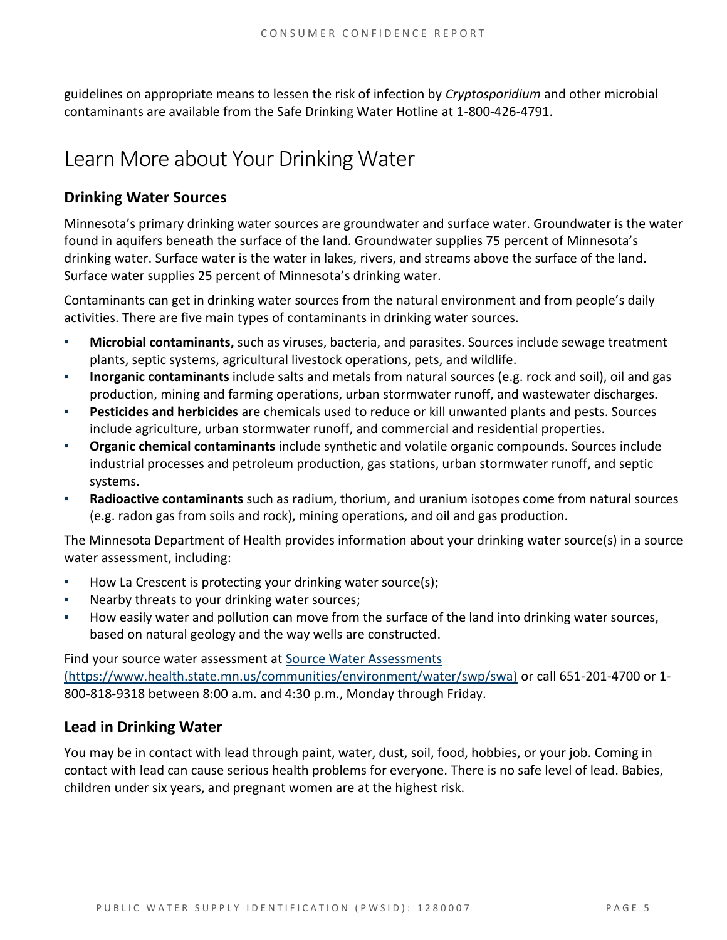guidelines on appropriate means to lessen the risk of infection by *Cryptosporidium* and other microbial contaminants are available from the Safe Drinking Water Hotline at 1-800-426-4791.

# Learn More about Your Drinking Water

## **Drinking Water Sources**

Minnesota's primary drinking water sources are groundwater and surface water. Groundwater is the water found in aquifers beneath the surface of the land. Groundwater supplies 75 percent of Minnesota's drinking water. Surface water is the water in lakes, rivers, and streams above the surface of the land. Surface water supplies 25 percent of Minnesota's drinking water.

Contaminants can get in drinking water sources from the natural environment and from people's daily activities. There are five main types of contaminants in drinking water sources.

- **Microbial contaminants,** such as viruses, bacteria, and parasites. Sources include sewage treatment plants, septic systems, agricultural livestock operations, pets, and wildlife.
- **Inorganic contaminants** include salts and metals from natural sources (e.g. rock and soil), oil and gas production, mining and farming operations, urban stormwater runoff, and wastewater discharges.
- **Pesticides and herbicides** are chemicals used to reduce or kill unwanted plants and pests. Sources include agriculture, urban stormwater runoff, and commercial and residential properties.
- **Organic chemical contaminants** include synthetic and volatile organic compounds. Sources include industrial processes and petroleum production, gas stations, urban stormwater runoff, and septic systems.
- **Radioactive contaminants** such as radium, thorium, and uranium isotopes come from natural sources (e.g. radon gas from soils and rock), mining operations, and oil and gas production.

The Minnesota Department of Health provides information about your drinking water source(s) in a source water assessment, including:

- How La Crescent is protecting your drinking water source(s);
- Nearby threats to your drinking water sources;
- How easily water and pollution can move from the surface of the land into drinking water sources, based on natural geology and the way wells are constructed.

Find your source water assessment at Source Water Assessments [\(https://www.health.state.mn.us/communities/environment/water/swp/swa\)](https://www.health.state.mn.us/communities/environment/water/swp/swa) or call 651-201-4700 or 1- 800-818-9318 between 8:00 a.m. and 4:30 p.m., Monday through Friday.

### **Lead in Drinking Water**

You may be in contact with lead through paint, water, dust, soil, food, hobbies, or your job. Coming in contact with lead can cause serious health problems for everyone. There is no safe level of lead. Babies, children under six years, and pregnant women are at the highest risk.